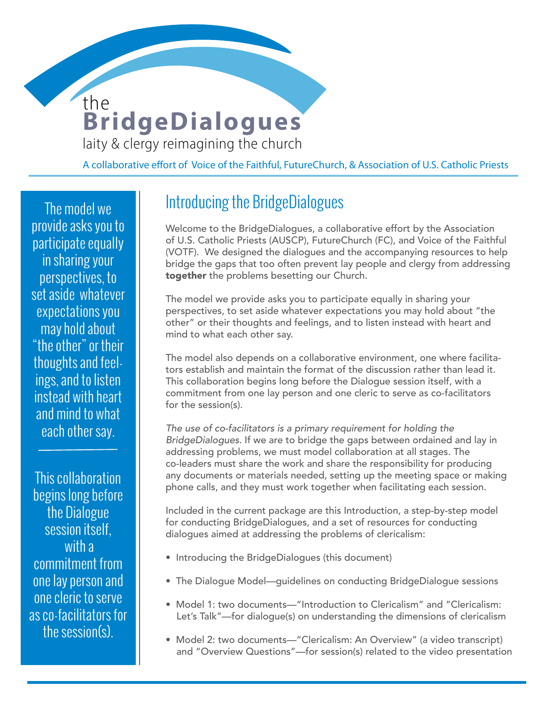# **BridgeDialogues** the

**WOMEN DEACONS** 

laity & clergy reimagining the church

A collaborative effort of Voice of the Faithful, FutureChurch, & Association of U.S. Catholic Priests

The model we provide asks you to participate equally in sharing your perspectives, to set aside whatever expectations you may hold about "the other" or their thoughts and feelings, and to listen instead with heart and mind to what each other say.

This collaboration begins long before the Dialogue session itself, with a commitment from one lay person and one cleric to serve as co-facilitators for the session(s).

### Introducing the BridgeDialogues

Welcome to the BridgeDialogues, a collaborative effort by the Association of U.S. Catholic Priests (AUSCP), FutureChurch (FC), and Voice of the Faithful (VOTF). We designed the dialogues and the accompanying resources to help bridge the gaps that too often prevent lay people and clergy from addressing together the problems besetting our Church.

The model we provide asks you to participate equally in sharing your perspectives, to set aside whatever expectations you may hold about "the other" or their thoughts and feelings, and to listen instead with heart and mind to what each other say.

The model also depends on a collaborative environment, one where facilitators establish and maintain the format of the discussion rather than lead it. This collaboration begins long before the Dialogue session itself, with a commitment from one lay person and one cleric to serve as co-facilitators for the session(s).

*The use of co-facilitators is a primary requirement for holding the BridgeDialogues*. If we are to bridge the gaps between ordained and lay in addressing problems, we must model collaboration at all stages. The co-leaders must share the work and share the responsibility for producing any documents or materials needed, setting up the meeting space or making phone calls, and they must work together when facilitating each session.

Included in the current package are this Introduction, a step-by-step model for conducting BridgeDialogues, and a set of resources for conducting dialogues aimed at addressing the problems of clericalism:

- Introducing the BridgeDialogues (this document)
- The Dialogue Model—guidelines on conducting BridgeDialogue sessions
- Model 1: two documents—"Introduction to Clericalism" and "Clericalism: Let's Talk"—for dialogue(s) on understanding the dimensions of clericalism
- Model 2: two documents—"Clericalism: An Overview" (a video transcript) and "Overview Questions"—for session(s) related to the video presentation